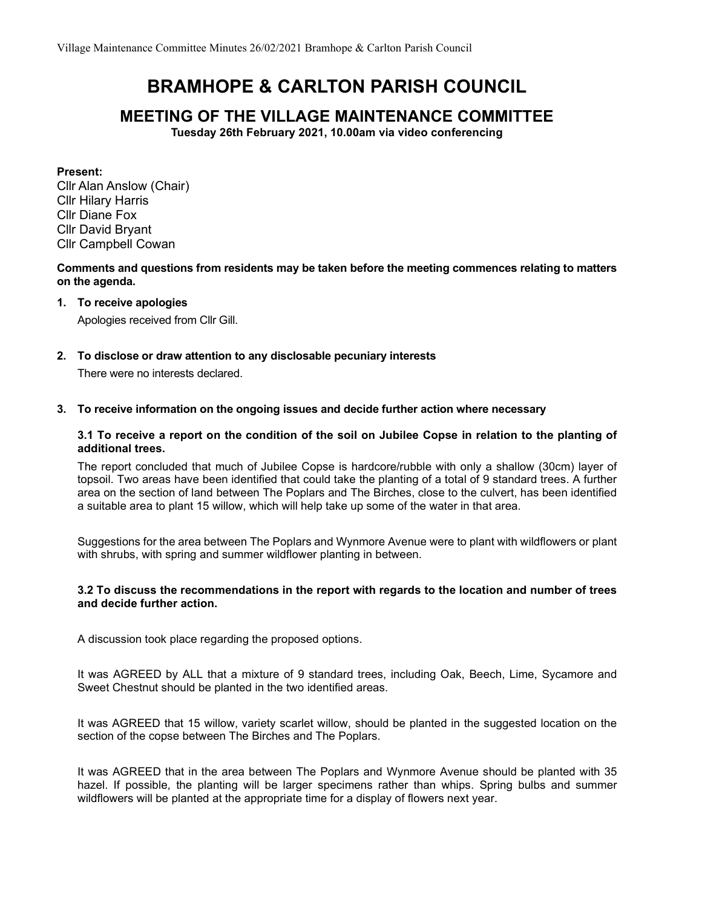# BRAMHOPE & CARLTON PARISH COUNCIL

# MEETING OF THE VILLAGE MAINTENANCE COMMITTEE

Tuesday 26th February 2021, 10.00am via video conferencing

Present:

Cllr Alan Anslow (Chair) Cllr Hilary Harris Cllr Diane Fox Cllr David Bryant Cllr Campbell Cowan

Comments and questions from residents may be taken before the meeting commences relating to matters on the agenda.

## 1. To receive apologies

Apologies received from Cllr Gill.

2. To disclose or draw attention to any disclosable pecuniary interests

There were no interests declared.

## 3. To receive information on the ongoing issues and decide further action where necessary

#### 3.1 To receive a report on the condition of the soil on Jubilee Copse in relation to the planting of additional trees.

The report concluded that much of Jubilee Copse is hardcore/rubble with only a shallow (30cm) layer of topsoil. Two areas have been identified that could take the planting of a total of 9 standard trees. A further area on the section of land between The Poplars and The Birches, close to the culvert, has been identified a suitable area to plant 15 willow, which will help take up some of the water in that area.

Suggestions for the area between The Poplars and Wynmore Avenue were to plant with wildflowers or plant with shrubs, with spring and summer wildflower planting in between.

#### 3.2 To discuss the recommendations in the report with regards to the location and number of trees and decide further action.

A discussion took place regarding the proposed options.

It was AGREED by ALL that a mixture of 9 standard trees, including Oak, Beech, Lime, Sycamore and Sweet Chestnut should be planted in the two identified areas.

It was AGREED that 15 willow, variety scarlet willow, should be planted in the suggested location on the section of the copse between The Birches and The Poplars.

It was AGREED that in the area between The Poplars and Wynmore Avenue should be planted with 35 hazel. If possible, the planting will be larger specimens rather than whips. Spring bulbs and summer wildflowers will be planted at the appropriate time for a display of flowers next year.